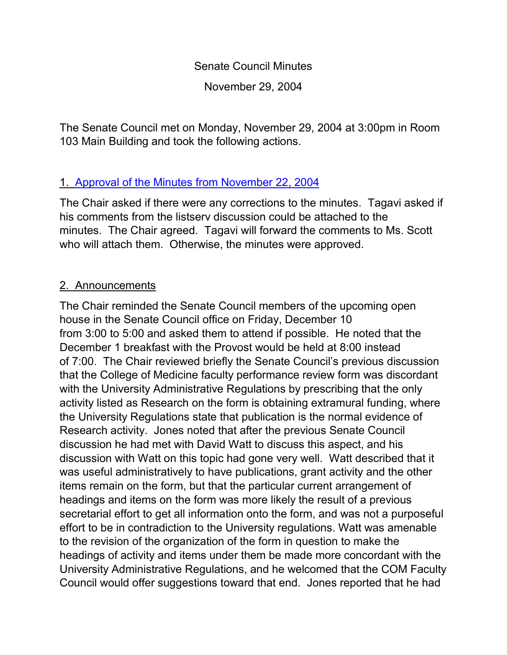Senate Council Minutes November 29, 2004

The Senate Council met on Monday, November 29, 2004 at 3:00pm in Room 103 Main Building and took the following actions.

## 1. [Approval of the Minutes from](http://www.uky.edu/USC/New/SCMinutes/SC%20Minutes%20Nov%2022-FINAL.htm) November 22, 2004

The Chair asked if there were any corrections to the minutes. Tagavi asked if his comments from the listserv discussion could be attached to the minutes. The Chair agreed. Tagavi will forward the comments to Ms. Scott who will attach them. Otherwise, the minutes were approved.

# 2. Announcements

The Chair reminded the Senate Council members of the upcoming open house in the Senate Council office on Friday, December 10 from 3:00 to 5:00 and asked them to attend if possible. He noted that the December 1 breakfast with the Provost would be held at 8:00 instead of 7:00. The Chair reviewed briefly the Senate Council's previous discussion that the College of Medicine faculty performance review form was discordant with the University Administrative Regulations by prescribing that the only activity listed as Research on the form is obtaining extramural funding, where the University Regulations state that publication is the normal evidence of Research activity. Jones noted that after the previous Senate Council discussion he had met with David Watt to discuss this aspect, and his discussion with Watt on this topic had gone very well. Watt described that it was useful administratively to have publications, grant activity and the other items remain on the form, but that the particular current arrangement of headings and items on the form was more likely the result of a previous secretarial effort to get all information onto the form, and was not a purposeful effort to be in contradiction to the University regulations. Watt was amenable to the revision of the organization of the form in question to make the headings of activity and items under them be made more concordant with the University Administrative Regulations, and he welcomed that the COM Faculty Council would offer suggestions toward that end. Jones reported that he had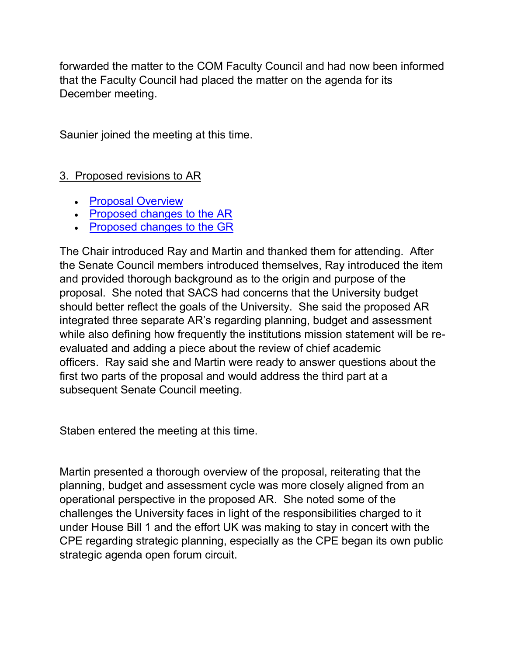forwarded the matter to the COM Faculty Council and had now been informed that the Faculty Council had placed the matter on the agenda for its December meeting.

Saunier joined the meeting at this time.

## 3. Proposed revisions to AR

- [Proposal Overview](http://www.uky.edu/USC/New/SCAgendas/20041122/Overview%20of%20Proposed%20Revision%20of%20AR%20II.doc)
- [Proposed changes to the AR](http://www.uky.edu/USC/New/SCAgendas/20041122/AR%20II-1.0-6%20FINAL%20DRAFT%204-30-04.doc)
- [Proposed changes to the GR](http://www.uky.edu/USC/New/SCAgendas/20041122/GR%20Redlined.doc)

The Chair introduced Ray and Martin and thanked them for attending. After the Senate Council members introduced themselves, Ray introduced the item and provided thorough background as to the origin and purpose of the proposal. She noted that SACS had concerns that the University budget should better reflect the goals of the University. She said the proposed AR integrated three separate AR's regarding planning, budget and assessment while also defining how frequently the institutions mission statement will be reevaluated and adding a piece about the review of chief academic officers. Ray said she and Martin were ready to answer questions about the first two parts of the proposal and would address the third part at a subsequent Senate Council meeting.

Staben entered the meeting at this time.

Martin presented a thorough overview of the proposal, reiterating that the planning, budget and assessment cycle was more closely aligned from an operational perspective in the proposed AR. She noted some of the challenges the University faces in light of the responsibilities charged to it under House Bill 1 and the effort UK was making to stay in concert with the CPE regarding strategic planning, especially as the CPE began its own public strategic agenda open forum circuit.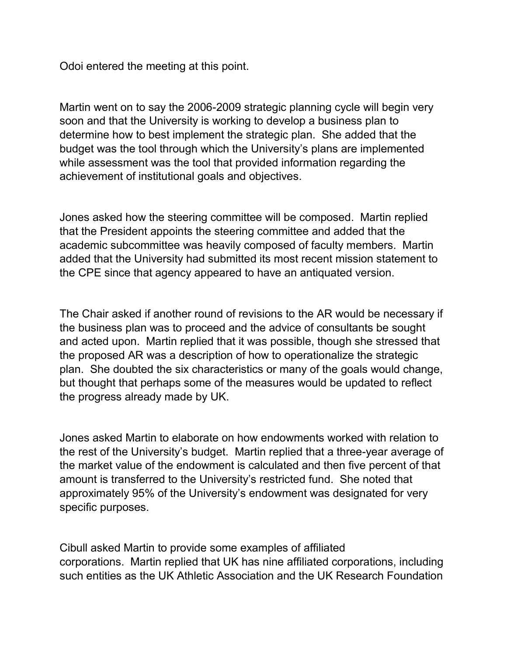Odoi entered the meeting at this point.

Martin went on to say the 2006-2009 strategic planning cycle will begin very soon and that the University is working to develop a business plan to determine how to best implement the strategic plan. She added that the budget was the tool through which the University's plans are implemented while assessment was the tool that provided information regarding the achievement of institutional goals and objectives.

Jones asked how the steering committee will be composed. Martin replied that the President appoints the steering committee and added that the academic subcommittee was heavily composed of faculty members. Martin added that the University had submitted its most recent mission statement to the CPE since that agency appeared to have an antiquated version.

The Chair asked if another round of revisions to the AR would be necessary if the business plan was to proceed and the advice of consultants be sought and acted upon. Martin replied that it was possible, though she stressed that the proposed AR was a description of how to operationalize the strategic plan. She doubted the six characteristics or many of the goals would change, but thought that perhaps some of the measures would be updated to reflect the progress already made by UK.

Jones asked Martin to elaborate on how endowments worked with relation to the rest of the University's budget. Martin replied that a three-year average of the market value of the endowment is calculated and then five percent of that amount is transferred to the University's restricted fund. She noted that approximately 95% of the University's endowment was designated for very specific purposes.

Cibull asked Martin to provide some examples of affiliated corporations. Martin replied that UK has nine affiliated corporations, including such entities as the UK Athletic Association and the UK Research Foundation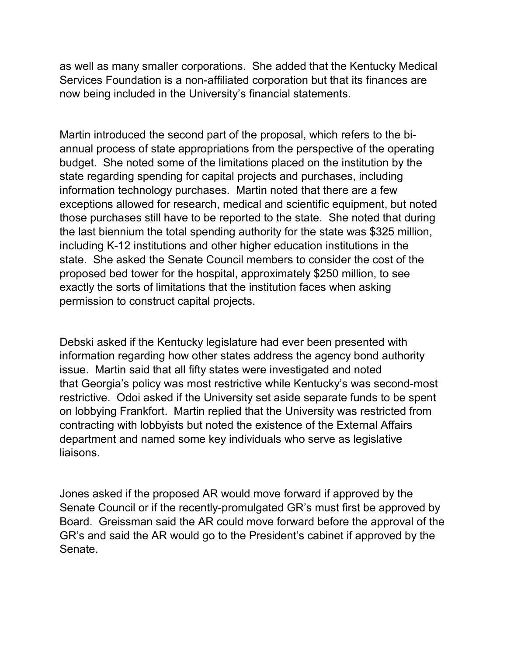as well as many smaller corporations. She added that the Kentucky Medical Services Foundation is a non-affiliated corporation but that its finances are now being included in the University's financial statements.

Martin introduced the second part of the proposal, which refers to the biannual process of state appropriations from the perspective of the operating budget. She noted some of the limitations placed on the institution by the state regarding spending for capital projects and purchases, including information technology purchases. Martin noted that there are a few exceptions allowed for research, medical and scientific equipment, but noted those purchases still have to be reported to the state. She noted that during the last biennium the total spending authority for the state was \$325 million, including K-12 institutions and other higher education institutions in the state. She asked the Senate Council members to consider the cost of the proposed bed tower for the hospital, approximately \$250 million, to see exactly the sorts of limitations that the institution faces when asking permission to construct capital projects.

Debski asked if the Kentucky legislature had ever been presented with information regarding how other states address the agency bond authority issue. Martin said that all fifty states were investigated and noted that Georgia's policy was most restrictive while Kentucky's was second-most restrictive. Odoi asked if the University set aside separate funds to be spent on lobbying Frankfort. Martin replied that the University was restricted from contracting with lobbyists but noted the existence of the External Affairs department and named some key individuals who serve as legislative liaisons.

Jones asked if the proposed AR would move forward if approved by the Senate Council or if the recently-promulgated GR's must first be approved by Board. Greissman said the AR could move forward before the approval of the GR's and said the AR would go to the President's cabinet if approved by the Senate.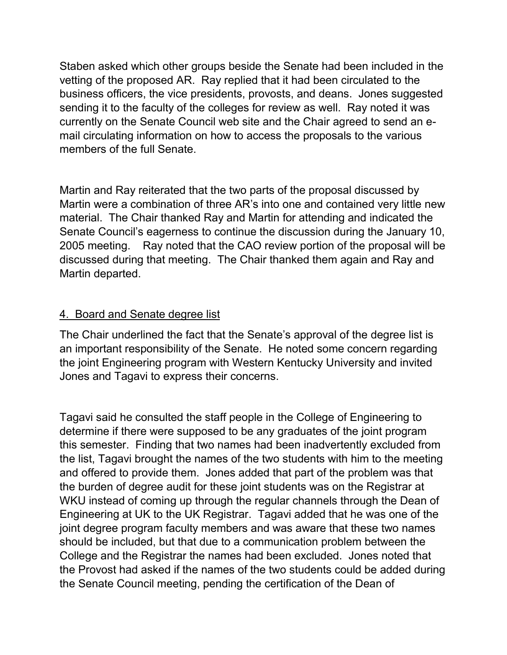Staben asked which other groups beside the Senate had been included in the vetting of the proposed AR. Ray replied that it had been circulated to the business officers, the vice presidents, provosts, and deans. Jones suggested sending it to the faculty of the colleges for review as well. Ray noted it was currently on the Senate Council web site and the Chair agreed to send an email circulating information on how to access the proposals to the various members of the full Senate.

Martin and Ray reiterated that the two parts of the proposal discussed by Martin were a combination of three AR's into one and contained very little new material. The Chair thanked Ray and Martin for attending and indicated the Senate Council's eagerness to continue the discussion during the January 10, 2005 meeting. Ray noted that the CAO review portion of the proposal will be discussed during that meeting. The Chair thanked them again and Ray and Martin departed.

### 4. Board and Senate degree list

The Chair underlined the fact that the Senate's approval of the degree list is an important responsibility of the Senate. He noted some concern regarding the joint Engineering program with Western Kentucky University and invited Jones and Tagavi to express their concerns.

Tagavi said he consulted the staff people in the College of Engineering to determine if there were supposed to be any graduates of the joint program this semester. Finding that two names had been inadvertently excluded from the list, Tagavi brought the names of the two students with him to the meeting and offered to provide them. Jones added that part of the problem was that the burden of degree audit for these joint students was on the Registrar at WKU instead of coming up through the regular channels through the Dean of Engineering at UK to the UK Registrar. Tagavi added that he was one of the joint degree program faculty members and was aware that these two names should be included, but that due to a communication problem between the College and the Registrar the names had been excluded. Jones noted that the Provost had asked if the names of the two students could be added during the Senate Council meeting, pending the certification of the Dean of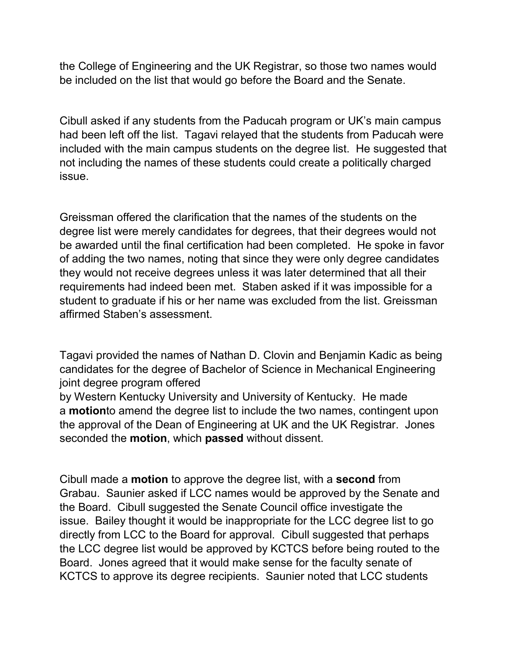the College of Engineering and the UK Registrar, so those two names would be included on the list that would go before the Board and the Senate.

Cibull asked if any students from the Paducah program or UK's main campus had been left off the list. Tagavi relayed that the students from Paducah were included with the main campus students on the degree list. He suggested that not including the names of these students could create a politically charged issue.

Greissman offered the clarification that the names of the students on the degree list were merely candidates for degrees, that their degrees would not be awarded until the final certification had been completed. He spoke in favor of adding the two names, noting that since they were only degree candidates they would not receive degrees unless it was later determined that all their requirements had indeed been met. Staben asked if it was impossible for a student to graduate if his or her name was excluded from the list. Greissman affirmed Staben's assessment.

Tagavi provided the names of Nathan D. Clovin and Benjamin Kadic as being candidates for the degree of Bachelor of Science in Mechanical Engineering joint degree program offered

by Western Kentucky University and University of Kentucky. He made a **motion**to amend the degree list to include the two names, contingent upon the approval of the Dean of Engineering at UK and the UK Registrar. Jones seconded the **motion**, which **passed** without dissent.

Cibull made a **motion** to approve the degree list, with a **second** from Grabau. Saunier asked if LCC names would be approved by the Senate and the Board. Cibull suggested the Senate Council office investigate the issue. Bailey thought it would be inappropriate for the LCC degree list to go directly from LCC to the Board for approval. Cibull suggested that perhaps the LCC degree list would be approved by KCTCS before being routed to the Board. Jones agreed that it would make sense for the faculty senate of KCTCS to approve its degree recipients. Saunier noted that LCC students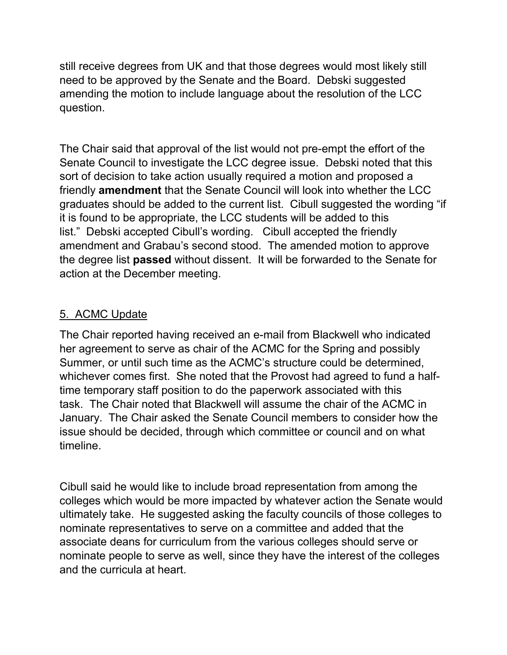still receive degrees from UK and that those degrees would most likely still need to be approved by the Senate and the Board. Debski suggested amending the motion to include language about the resolution of the LCC question.

The Chair said that approval of the list would not pre-empt the effort of the Senate Council to investigate the LCC degree issue. Debski noted that this sort of decision to take action usually required a motion and proposed a friendly **amendment** that the Senate Council will look into whether the LCC graduates should be added to the current list. Cibull suggested the wording "if it is found to be appropriate, the LCC students will be added to this list." Debski accepted Cibull's wording. Cibull accepted the friendly amendment and Grabau's second stood. The amended motion to approve the degree list **passed** without dissent. It will be forwarded to the Senate for action at the December meeting.

### 5. ACMC Update

The Chair reported having received an e-mail from Blackwell who indicated her agreement to serve as chair of the ACMC for the Spring and possibly Summer, or until such time as the ACMC's structure could be determined, whichever comes first. She noted that the Provost had agreed to fund a halftime temporary staff position to do the paperwork associated with this task. The Chair noted that Blackwell will assume the chair of the ACMC in January. The Chair asked the Senate Council members to consider how the issue should be decided, through which committee or council and on what timeline.

Cibull said he would like to include broad representation from among the colleges which would be more impacted by whatever action the Senate would ultimately take. He suggested asking the faculty councils of those colleges to nominate representatives to serve on a committee and added that the associate deans for curriculum from the various colleges should serve or nominate people to serve as well, since they have the interest of the colleges and the curricula at heart.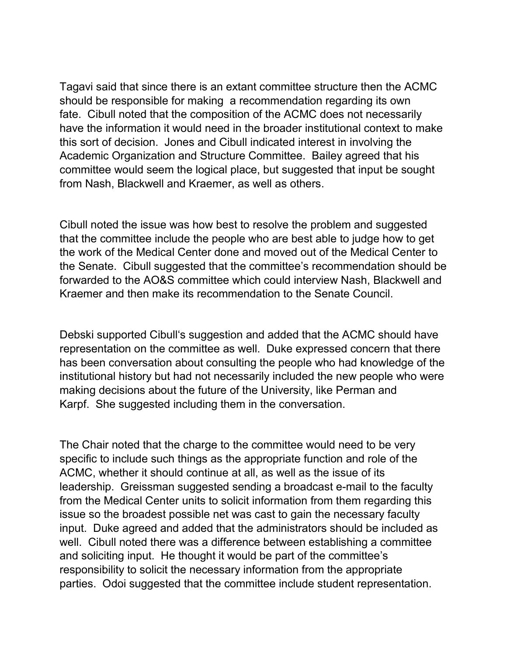Tagavi said that since there is an extant committee structure then the ACMC should be responsible for making a recommendation regarding its own fate. Cibull noted that the composition of the ACMC does not necessarily have the information it would need in the broader institutional context to make this sort of decision. Jones and Cibull indicated interest in involving the Academic Organization and Structure Committee. Bailey agreed that his committee would seem the logical place, but suggested that input be sought from Nash, Blackwell and Kraemer, as well as others.

Cibull noted the issue was how best to resolve the problem and suggested that the committee include the people who are best able to judge how to get the work of the Medical Center done and moved out of the Medical Center to the Senate. Cibull suggested that the committee's recommendation should be forwarded to the AO&S committee which could interview Nash, Blackwell and Kraemer and then make its recommendation to the Senate Council.

Debski supported Cibull's suggestion and added that the ACMC should have representation on the committee as well. Duke expressed concern that there has been conversation about consulting the people who had knowledge of the institutional history but had not necessarily included the new people who were making decisions about the future of the University, like Perman and Karpf. She suggested including them in the conversation.

The Chair noted that the charge to the committee would need to be very specific to include such things as the appropriate function and role of the ACMC, whether it should continue at all, as well as the issue of its leadership. Greissman suggested sending a broadcast e-mail to the faculty from the Medical Center units to solicit information from them regarding this issue so the broadest possible net was cast to gain the necessary faculty input. Duke agreed and added that the administrators should be included as well. Cibull noted there was a difference between establishing a committee and soliciting input. He thought it would be part of the committee's responsibility to solicit the necessary information from the appropriate parties. Odoi suggested that the committee include student representation.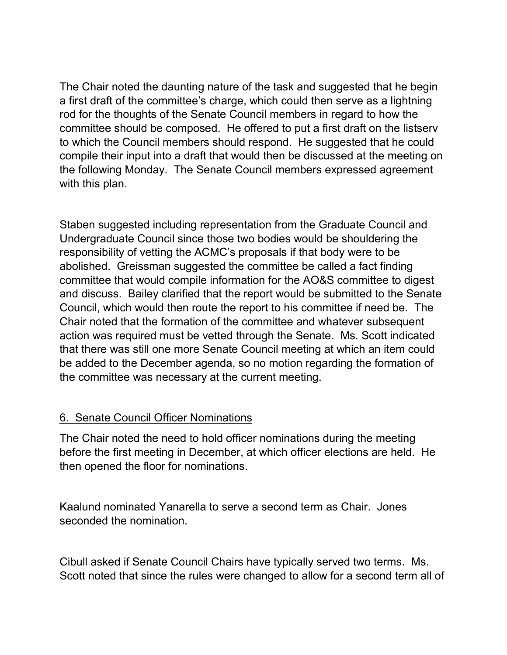The Chair noted the daunting nature of the task and suggested that he begin a first draft of the committee's charge, which could then serve as a lightning rod for the thoughts of the Senate Council members in regard to how the committee should be composed. He offered to put a first draft on the listserv to which the Council members should respond. He suggested that he could compile their input into a draft that would then be discussed at the meeting on the following Monday. The Senate Council members expressed agreement with this plan.

Staben suggested including representation from the Graduate Council and Undergraduate Council since those two bodies would be shouldering the responsibility of vetting the ACMC's proposals if that body were to be abolished. Greissman suggested the committee be called a fact finding committee that would compile information for the AO&S committee to digest and discuss. Bailey clarified that the report would be submitted to the Senate Council, which would then route the report to his committee if need be. The Chair noted that the formation of the committee and whatever subsequent action was required must be vetted through the Senate. Ms. Scott indicated that there was still one more Senate Council meeting at which an item could be added to the December agenda, so no motion regarding the formation of the committee was necessary at the current meeting.

### 6. Senate Council Officer Nominations

The Chair noted the need to hold officer nominations during the meeting before the first meeting in December, at which officer elections are held. He then opened the floor for nominations.

Kaalund nominated Yanarella to serve a second term as Chair. Jones seconded the nomination.

Cibull asked if Senate Council Chairs have typically served two terms. Ms. Scott noted that since the rules were changed to allow for a second term all of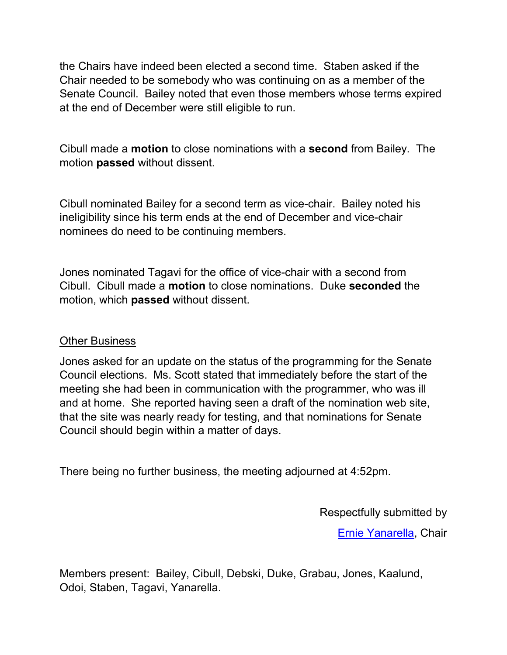the Chairs have indeed been elected a second time. Staben asked if the Chair needed to be somebody who was continuing on as a member of the Senate Council. Bailey noted that even those members whose terms expired at the end of December were still eligible to run.

Cibull made a **motion** to close nominations with a **second** from Bailey. The motion **passed** without dissent.

Cibull nominated Bailey for a second term as vice-chair. Bailey noted his ineligibility since his term ends at the end of December and vice-chair nominees do need to be continuing members.

Jones nominated Tagavi for the office of vice-chair with a second from Cibull. Cibull made a **motion** to close nominations. Duke **seconded** the motion, which **passed** without dissent.

#### Other Business

Jones asked for an update on the status of the programming for the Senate Council elections. Ms. Scott stated that immediately before the start of the meeting she had been in communication with the programmer, who was ill and at home. She reported having seen a draft of the nomination web site, that the site was nearly ready for testing, and that nominations for Senate Council should begin within a matter of days.

There being no further business, the meeting adjourned at 4:52pm.

Respectfully submitted by

[Ernie Yanarella,](mailto:ejyana@email.uky.edu) Chair

Members present: Bailey, Cibull, Debski, Duke, Grabau, Jones, Kaalund, Odoi, Staben, Tagavi, Yanarella.